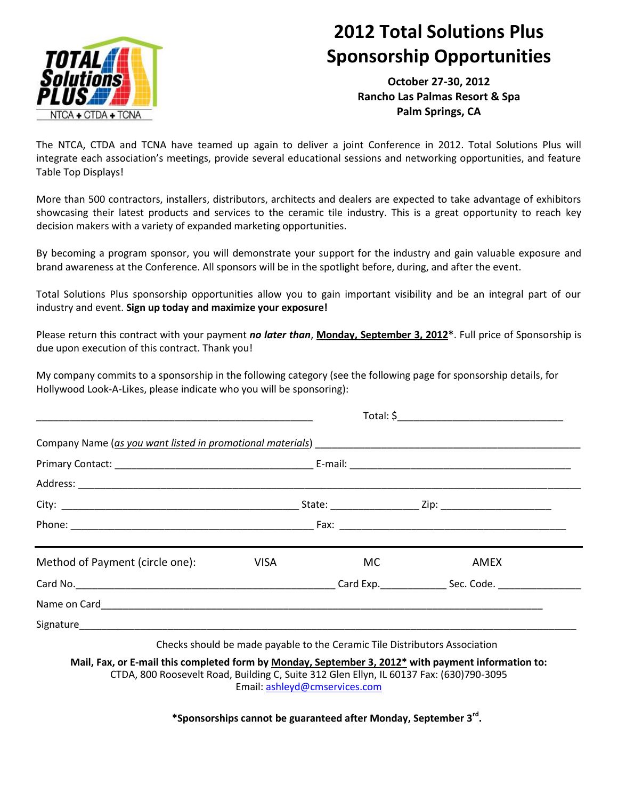

# **2012 Total Solutions Plus Sponsorship Opportunities**

**October 27-30, 2012 Rancho Las Palmas Resort & Spa Palm Springs, CA**

The NTCA, CTDA and TCNA have teamed up again to deliver a joint Conference in 2012. Total Solutions Plus will integrate each association's meetings, provide several educational sessions and networking opportunities, and feature Table Top Displays!

More than 500 contractors, installers, distributors, architects and dealers are expected to take advantage of exhibitors showcasing their latest products and services to the ceramic tile industry. This is a great opportunity to reach key decision makers with a variety of expanded marketing opportunities.

By becoming a program sponsor, you will demonstrate your support for the industry and gain valuable exposure and brand awareness at the Conference. All sponsors will be in the spotlight before, during, and after the event.

Total Solutions Plus sponsorship opportunities allow you to gain important visibility and be an integral part of our industry and event. **Sign up today and maximize your exposure!**

Please return this contract with your payment *no later than*, **Monday, September 3, 2012\***. Full price of Sponsorship is due upon execution of this contract. Thank you!

My company commits to a sponsorship in the following category (see the following page for sponsorship details, for Hollywood Look-A-Likes, please indicate who you will be sponsoring):

| Method of Payment (circle one):                                                                                                                                                                                                      | VISA <b>Martin</b> | MC.                                                                        | AMEX |  |
|--------------------------------------------------------------------------------------------------------------------------------------------------------------------------------------------------------------------------------------|--------------------|----------------------------------------------------------------------------|------|--|
| Card No. 2008. Card Exp. 2008. Card Exp. 2008. Card Exp. 2008. Code. 2008. 2009. 2008. 2009. 2009. 2009. 2014. 2016. 2016. 2017. 2018. 2019. 2019. 2019. 2019. 2019. 2019. 2019. 2019. 2019. 2019. 2019. 2019. 2019. 2019. 201       |                    |                                                                            |      |  |
| Name on Card <u>Carriel Communications and the contract of the contract of the contract of the contract of the contract of the contract of the contract of the contract of the contract of the contract of the contract of the c</u> |                    |                                                                            |      |  |
|                                                                                                                                                                                                                                      |                    |                                                                            |      |  |
|                                                                                                                                                                                                                                      |                    | Checks should be made payable to the Ceramic Tile Distributors Association |      |  |

**Mail, Fax, or E-mail this completed form by Monday, September 3, 2012\* with payment information to:** CTDA, 800 Roosevelt Road, Building C, Suite 312 Glen Ellyn, IL 60137 Fax: (630)790-3095 Email[: ashleyd@cmservices.com](mailto:ashleyd@cmservices.com)

**\*Sponsorships cannot be guaranteed after Monday, September 3rd .**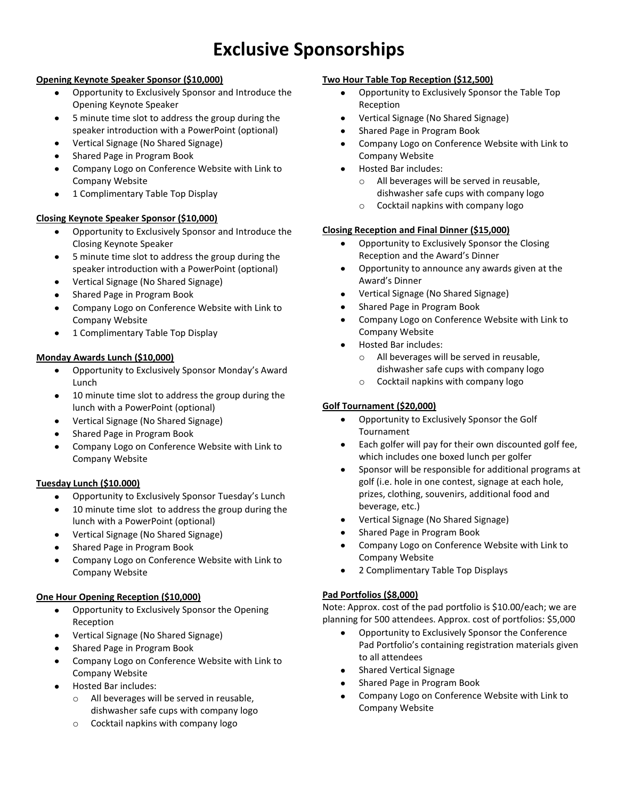# **Exclusive Sponsorships**

#### **Opening Keynote Speaker Sponsor (\$10,000)**

- $\bullet$ Opportunity to Exclusively Sponsor and Introduce the Opening Keynote Speaker
- 5 minute time slot to address the group during the speaker introduction with a PowerPoint (optional)
- Vertical Signage (No Shared Signage)
- Shared Page in Program Book
- Company Logo on Conference Website with Link to Company Website
- 1 Complimentary Table Top Display

## **Closing Keynote Speaker Sponsor (\$10,000)**

- Opportunity to Exclusively Sponsor and Introduce the  $\bullet$ Closing Keynote Speaker
- 5 minute time slot to address the group during the  $\bullet$ speaker introduction with a PowerPoint (optional)
- Vertical Signage (No Shared Signage)
- Shared Page in Program Book
- Company Logo on Conference Website with Link to Company Website
- 1 Complimentary Table Top Display

#### **Monday Awards Lunch (\$10,000)**

- $\bullet$ Opportunity to Exclusively Sponsor Monday's Award Lunch
- 10 minute time slot to address the group during the lunch with a PowerPoint (optional)
- Vertical Signage (No Shared Signage)
- Shared Page in Program Book
- Company Logo on Conference Website with Link to Company Website

## **Tuesday Lunch (\$10.000)**

- Opportunity to Exclusively Sponsor Tuesday's Lunch
- 10 minute time slot to address the group during the lunch with a PowerPoint (optional)
- Vertical Signage (No Shared Signage)
- Shared Page in Program Book
- Company Logo on Conference Website with Link to Company Website

## **One Hour Opening Reception (\$10,000)**

- Opportunity to Exclusively Sponsor the Opening  $\bullet$ Reception
- Vertical Signage (No Shared Signage)
- Shared Page in Program Book
- Company Logo on Conference Website with Link to Company Website
- Hosted Bar includes:
	- o All beverages will be served in reusable, dishwasher safe cups with company logo
	- o Cocktail napkins with company logo

#### **Two Hour Table Top Reception (\$12,500)**

- $\bullet$ Opportunity to Exclusively Sponsor the Table Top Reception
- Vertical Signage (No Shared Signage)  $\bullet$
- Shared Page in Program Book
- Company Logo on Conference Website with Link to Company Website
- Hosted Bar includes:  $\bullet$ 
	- o All beverages will be served in reusable, dishwasher safe cups with company logo
	- o Cocktail napkins with company logo

#### **Closing Reception and Final Dinner (\$15,000)**

- Opportunity to Exclusively Sponsor the Closing  $\bullet$ Reception and the Award's Dinner
- $\bullet$ Opportunity to announce any awards given at the Award's Dinner
- $\bullet$ Vertical Signage (No Shared Signage)
- Shared Page in Program Book
- Company Logo on Conference Website with Link to Company Website
- $\bullet$ Hosted Bar includes:
	- o All beverages will be served in reusable, dishwasher safe cups with company logo
	- o Cocktail napkins with company logo

## **Golf Tournament (\$20,000)**

- Opportunity to Exclusively Sponsor the Golf  $\bullet$ Tournament
- Each golfer will pay for their own discounted golf fee,  $\bullet$ which includes one boxed lunch per golfer
- Sponsor will be responsible for additional programs at  $\bullet$ golf (i.e. hole in one contest, signage at each hole, prizes, clothing, souvenirs, additional food and beverage, etc.)
- Vertical Signage (No Shared Signage)  $\bullet$
- Shared Page in Program Book
- Company Logo on Conference Website with Link to  $\bullet$ Company Website
- $\bullet$ 2 Complimentary Table Top Displays

## **Pad Portfolios (\$8,000)**

Note: Approx. cost of the pad portfolio is \$10.00/each; we are planning for 500 attendees. Approx. cost of portfolios: \$5,000

- Opportunity to Exclusively Sponsor the Conference  $\bullet$ Pad Portfolio's containing registration materials given to all attendees
- Shared Vertical Signage
- Shared Page in Program Book
- Company Logo on Conference Website with Link to Company Website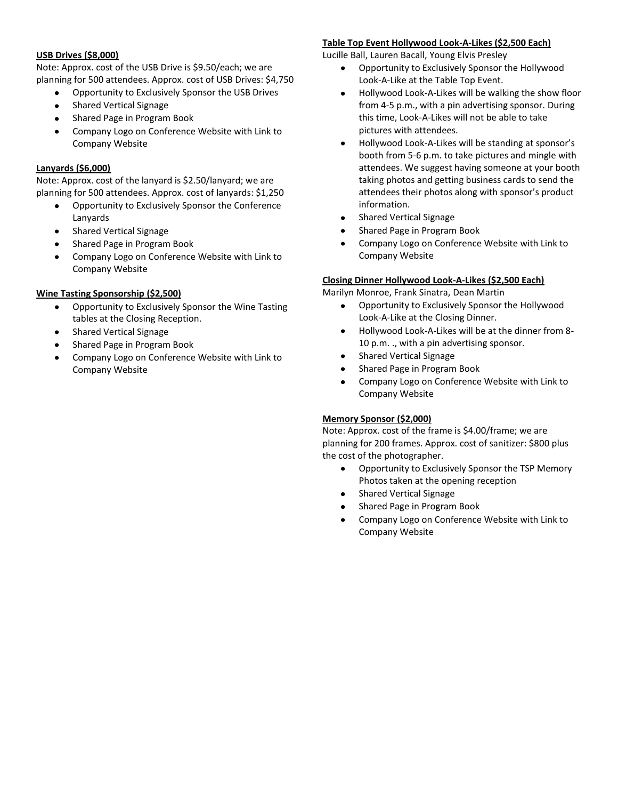#### **USB Drives (\$8,000)**

Note: Approx. cost of the USB Drive is \$9.50/each; we are planning for 500 attendees. Approx. cost of USB Drives: \$4,750

- Opportunity to Exclusively Sponsor the USB Drives
- Shared Vertical Signage
- Shared Page in Program Book
- Company Logo on Conference Website with Link to Company Website

#### **Lanyards (\$6,000)**

Note: Approx. cost of the lanyard is \$2.50/lanyard; we are planning for 500 attendees. Approx. cost of lanyards: \$1,250

- Opportunity to Exclusively Sponsor the Conference Lanyards
- Shared Vertical Signage  $\bullet$
- Shared Page in Program Book
- Company Logo on Conference Website with Link to Company Website

#### **Wine Tasting Sponsorship (\$2,500)**

- Opportunity to Exclusively Sponsor the Wine Tasting tables at the Closing Reception.
- Shared Vertical Signage
- Shared Page in Program Book
- Company Logo on Conference Website with Link to Company Website

#### **Table Top Event Hollywood Look-A-Likes (\$2,500 Each)**

Lucille Ball, Lauren Bacall, Young Elvis Presley

- $\bullet$ Opportunity to Exclusively Sponsor the Hollywood Look-A-Like at the Table Top Event.
- Hollywood Look-A-Likes will be walking the show floor from 4-5 p.m., with a pin advertising sponsor. During this time, Look-A-Likes will not be able to take pictures with attendees.
- $\bullet$ Hollywood Look-A-Likes will be standing at sponsor's booth from 5-6 p.m. to take pictures and mingle with attendees. We suggest having someone at your booth taking photos and getting business cards to send the attendees their photos along with sponsor's product information.
- Shared Vertical Signage  $\bullet$
- $\bullet$ Shared Page in Program Book
- Company Logo on Conference Website with Link to Company Website

#### **Closing Dinner Hollywood Look-A-Likes (\$2,500 Each)**

Marilyn Monroe, Frank Sinatra, Dean Martin

- Opportunity to Exclusively Sponsor the Hollywood  $\bullet$ Look-A-Like at the Closing Dinner.
- Hollywood Look-A-Likes will be at the dinner from 8-  $\bullet$ 10 p.m. ., with a pin advertising sponsor.
- Shared Vertical Signage  $\bullet$
- Shared Page in Program Book  $\bullet$
- Company Logo on Conference Website with Link to  $\bullet$ Company Website

#### **Memory Sponsor (\$2,000)**

Note: Approx. cost of the frame is \$4.00/frame; we are planning for 200 frames. Approx. cost of sanitizer: \$800 plus the cost of the photographer.

- Opportunity to Exclusively Sponsor the TSP Memory  $\bullet$ Photos taken at the opening reception
- Shared Vertical Signage
- Shared Page in Program Book
- Company Logo on Conference Website with Link to Company Website